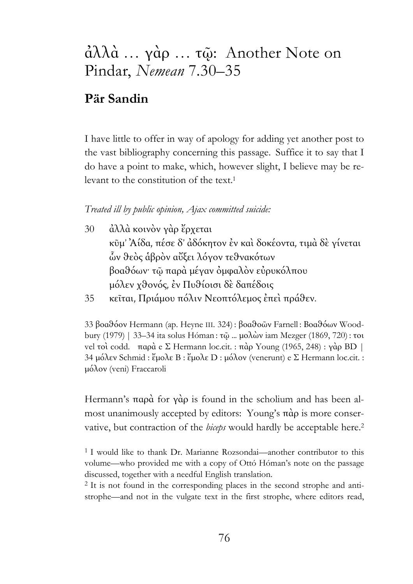## ἀλλὰ … γὰρ … τῷ: Another Note on Pindar, *Nemean* 7.30–35

## **Pär Sandin**

I have little to offer in way of apology for adding yet another post to the vast bibliography concerning this passage. Suffice it to say that I do have a point to make, which, however slight, I believe may be relevant to the constitution of the text.1

## *Treated ill by public opinion, Ajax committed suicide:*

- 30 ἀλλὰ κοινὸν γὰρ ἔρχεται κῦµ' Ἀίδα, πέσε δ' ἀδόκητον ἐν καὶ δοκέοντα, τιµὰ δὲ γίνεται ὧν θεὸς ἁβρὸν αὔξει λόγον τεθνακότων βοαθόων· τῷ παρὰ µέγαν ὀµφαλὸν εὐρυκόλπου µόλεν χθονός, ἐν Πυθίοισι δὲ δαπέδοις
- 35 κεῖται, Πριάµου πόλιν Νεοπτόλεµος ἐπεὶ πράθεν.

33 βοαθόον Hermann (ap. Heyne III. 324) : βοαθοῶν Farnell : Βοαθόων Woodbury (1979) | 33–34 ita solus Hóman : τῷ ... µολὼν iam Mezger (1869, 720) : τοι vel τοὶ codd. παρὰ e Σ Hermann loc.cit. : πὰρ Young (1965, 248) : γὰρ BD | 34 µόλεν Schmid : ἔµολε B : ἔµολε D : µόλον (venerunt) e Σ Hermann loc.cit. : µόλον (veni) Fraccaroli

Hermann's παρὰ for γὰρ is found in the scholium and has been almost unanimously accepted by editors: Young's πὰρ is more conservative, but contraction of the *biceps* would hardly be acceptable here.2

<sup>1</sup> I would like to thank Dr. Marianne Rozsondai—another contributor to this volume—who provided me with a copy of Ottó Hóman's note on the passage discussed, together with a needful English translation.

<sup>2</sup> It is not found in the corresponding places in the second strophe and antistrophe—and not in the vulgate text in the first strophe, where editors read,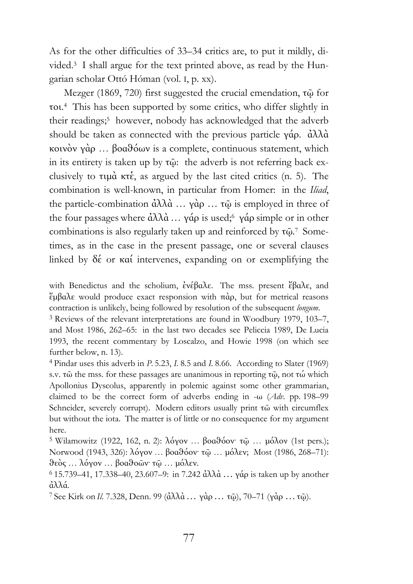As for the other difficulties of 33–34 critics are, to put it mildly, divided.3 I shall argue for the text printed above, as read by the Hungarian scholar Ottó Hóman (vol. I, p. xx).

Mezger (1869, 720) first suggested the crucial emendation, τῷ for τοι. <sup>4</sup> This has been supported by some critics, who differ slightly in their readings;<sup>5</sup> however, nobody has acknowledged that the adverb should be taken as connected with the previous particle γάρ. ἀλλὰ κοινὸν γὰρ … βοαθόων is a complete, continuous statement, which in its entirety is taken up by τῷ: the adverb is not referring back exclusively to τιµὰ κτἑ, as argued by the last cited critics (n. 5). The combination is well-known, in particular from Homer: in the *Iliad*, the particle-combination ἀλλὰ ... γὰρ ... τῷ is employed in three of the four passages where  $\dot{\alpha} \lambda \lambda \dot{\alpha} \ldots \gamma \dot{\alpha} \rho$  is used;<sup>6</sup> γάρ simple or in other combinations is also regularly taken up and reinforced by τῷ. 7 Sometimes, as in the case in the present passage, one or several clauses linked by δέ or καί intervenes, expanding on or exemplifying the

with Benedictus and the scholium, ἐνέβαλε. The mss. present ἔβαλε, and ἔµβαλε would produce exact responsion with πὰρ, but for metrical reasons contraction is unlikely, being followed by resolution of the subsequent *longum*. 3 Reviews of the relevant interpretations are found in Woodbury 1979, 103–7,

and Most 1986, 262–65: in the last two decades see Peliccia 1989, De Lucia 1993, the recent commentary by Loscalzo, and Howie 1998 (on which see further below, n. 13).

4 Pindar uses this adverb in *P.* 5.23, *I.* 8.5 and *I.* 8.66. According to Slater (1969) s.v. τῶ the mss. for these passages are unanimous in reporting τῷ, not τώ which Apollonius Dyscolus, apparently in polemic against some other grammarian, claimed to be the correct form of adverbs ending in -ω (*Adv*. pp. 198–99 Schneider, severely corrupt). Modern editors usually print τῶ with circumflex but without the iota. The matter is of little or no consequence for my argument here.

<sup>5</sup> Wilamowitz (1922, 162, n. 2): λόγον ... βοαθόον· τῷ ... μόλον (1st pers.); Norwood (1943, 326): λόγον … βοαθόον· τῷ … µόλεν; Most (1986, 268–71): θεὸς … λόγον … βοαθοῶν· τῷ … µόλεν. 6 15.739–41, 17.338–40, 23.607–9: in 7.242 ἀλλὰ … γάρ is taken up by another

ἀλλά. 7 See Kirk on *Il*. 7.328, Denn. 99 (ἀλλὰ… γὰρ… τῷ), 70–71 (γὰρ …τῷ).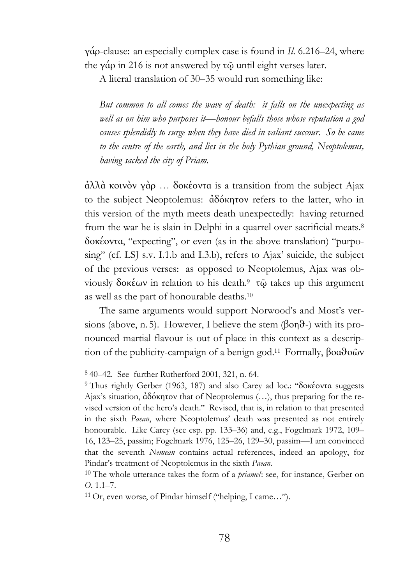γάρ-clause: an especially complex case is found in *Il*. 6.216–24, where the γάρ in 216 is not answered by τῷ until eight verses later.

A literal translation of 30–35 would run something like:

*But common to all comes the wave of death: it falls on the unexpecting as well as on him who purposes it—honour befalls those whose reputation a god causes splendidly to surge when they have died in valiant succour. So he came to the centre of the earth, and lies in the holy Pythian ground, Neoptolemus, having sacked the city of Priam.* 

ἀλλὰ κοινὸν γὰρ … δοκέοντα is a transition from the subject Ajax to the subject Neoptolemus: ἀδόκητον refers to the latter, who in this version of the myth meets death unexpectedly: having returned from the war he is slain in Delphi in a quarrel over sacrificial meats.8 δοκέοντα, "expecting", or even (as in the above translation) "purposing" (cf. LSJ s.v. I.1.b and I.3.b), refers to Ajax' suicide, the subject of the previous verses: as opposed to Neoptolemus, Ajax was obviously δοκέων in relation to his death.9 τῷ takes up this argument as well as the part of honourable deaths.10

The same arguments would support Norwood's and Most's versions (above, n. 5). However, I believe the stem ( $\beta$ on $\vartheta$ -) with its pronounced martial flavour is out of place in this context as a description of the publicity-campaign of a benign god.11 Formally, βοαθοῶν

<sup>9</sup> Thus rightly Gerber (1963, 187) and also Carey ad loc.: "δοκέοντα suggests Ajax's situation, ἀδόκητον that of Neoptolemus (…), thus preparing for the revised version of the hero's death." Revised, that is, in relation to that presented in the sixth *Paean*, where Neoptolemus' death was presented as not entirely honourable. Like Carey (see esp. pp. 133–36) and, e.g., Fogelmark 1972, 109– 16, 123–25, passim; Fogelmark 1976, 125–26, 129–30, passim—I am convinced that the seventh *Nemean* contains actual references, indeed an apology, for Pindar's treatment of Neoptolemus in the sixth *Paean*. 10 The whole utterance takes the form of a *priamel*: see, for instance, Gerber on

*O*. 1.1–7.

11 Or, even worse, of Pindar himself ("helping, I came…").

<sup>8 40–42.</sup> See further Rutherford 2001, 321, n. 64.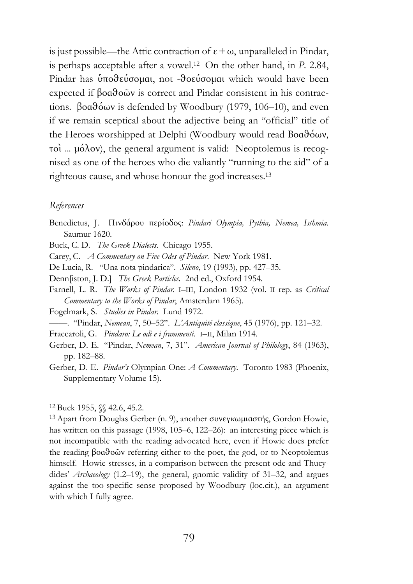is just possible—the Attic contraction of  $ε + ω$ , unparalleled in Pindar, is perhaps acceptable after a vowel.12 On the other hand, in *P.* 2.84, Pindar has ὑποθεύσοµαι, not -θοεύσοµαι which would have been expected if βοαθοῶν is correct and Pindar consistent in his contractions. βοαθόων is defended by Woodbury (1979, 106–10), and even if we remain sceptical about the adjective being an "official" title of the Heroes worshipped at Delphi (Woodbury would read Βοαθόων, τοὶ ... µόλον), the general argument is valid: Neoptolemus is recognised as one of the heroes who die valiantly "running to the aid" of a righteous cause, and whose honour the god increases.13

## *References*

- Benedictus, J. Πινδάρου περίοδος: *Pindari Olympia, Pythia, Nemea, Isthmia*. Saumur 1620.
- Buck, C. D. *The Greek Dialects.* Chicago 1955.
- Carey, C. *A Commentary on Five Odes of Pindar*. New York 1981.
- De Lucia, R. "Una nota pindarica". *Sileno*, 19 (1993), pp. 427–35.
- Denn[iston, J. D.] *The Greek Particles.* 2nd ed., Oxford 1954.
- Farnell, L. R. *The Works of Pindar.* I–III, London 1932 (vol. II rep. as *Critical Commentary to the Works of Pindar*, Amsterdam 1965).
- Fogelmark, S. *Studies in Pindar.* Lund 1972.
- ——. "Pindar, *Nemean*, 7, 50–52". *L'Antiquité classique*, 45 (1976), pp. 121–32.
- Fraccaroli, G. *Pindaro: Le odi e i frammenti*. I–II, Milan 1914.
- Gerber, D. E. "Pindar, *Nemean*, 7, 31". *American Journal of Philology*, 84 (1963), pp. 182–88.
- Gerber, D. E. *Pindar's* Olympian One: *A Commentary*. Toronto 1983 (Phoenix, Supplementary Volume 15).

<sup>12</sup> Buck 1955, §§ 42.6, 45.2.

<sup>13</sup> Apart from Douglas Gerber (n. 9), another συνεγκωµιαστής, Gordon Howie, has written on this passage (1998, 105–6, 122–26): an interesting piece which is not incompatible with the reading advocated here, even if Howie does prefer the reading βοαθοῶν referring either to the poet, the god, or to Neoptolemus himself. Howie stresses, in a comparison between the present ode and Thucydides' *Archaeology* (1.2–19), the general, gnomic validity of 31–32, and argues against the too-specific sense proposed by Woodbury (loc.cit.), an argument with which I fully agree.